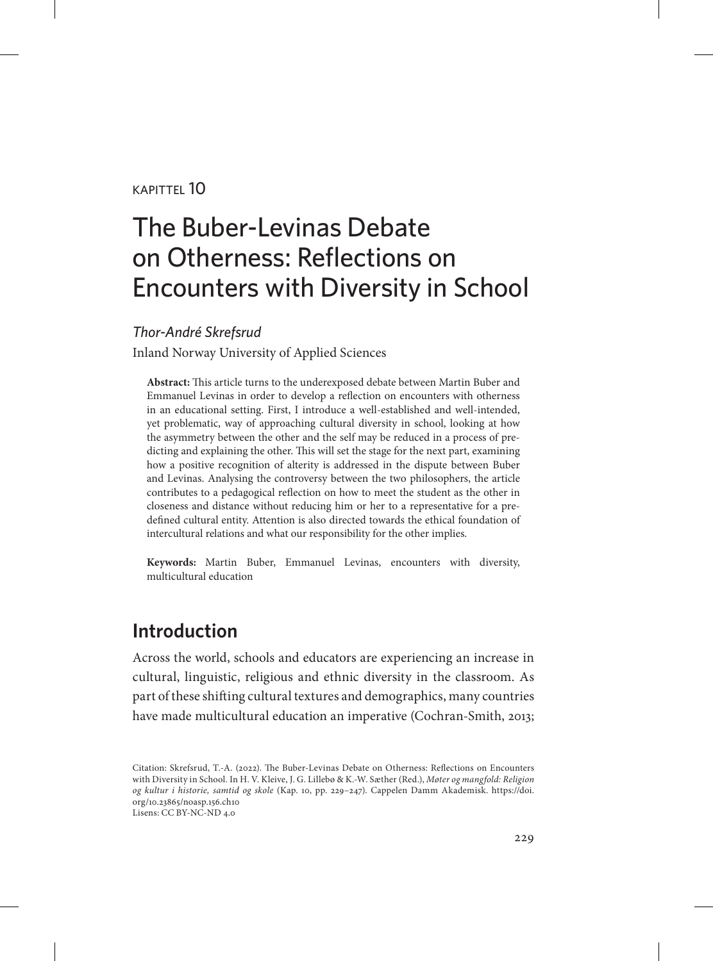#### $KAP$ ITTFI  $10$

# The Buber-Levinas Debate on Otherness: Reflections on Encounters with Diversity in School

#### *Thor-André Skrefsrud*

Inland Norway University of Applied Sciences

**Abstract:** This article turns to the underexposed debate between Martin Buber and Emmanuel Levinas in order to develop a reflection on encounters with otherness in an educational setting. First, I introduce a well-established and well-intended, yet problematic, way of approaching cultural diversity in school, looking at how the asymmetry between the other and the self may be reduced in a process of predicting and explaining the other. This will set the stage for the next part, examining how a positive recognition of alterity is addressed in the dispute between Buber and Levinas. Analysing the controversy between the two philosophers, the article contributes to a pedagogical reflection on how to meet the student as the other in closeness and distance without reducing him or her to a representative for a predefined cultural entity. Attention is also directed towards the ethical foundation of intercultural relations and what our responsibility for the other implies.

**Keywords:** Martin Buber, Emmanuel Levinas, encounters with diversity, multicultural education

### **Introduction**

Across the world, schools and educators are experiencing an increase in cultural, linguistic, religious and ethnic diversity in the classroom. As part of these shifting cultural textures and demographics, many countries have made multicultural education an imperative (Cochran-Smith, 2013;

Citation: Skrefsrud, T.-A. (2022). The Buber-Levinas Debate on Otherness: Reflections on Encounters with Diversity in School. In H. V. Kleive, J. G. Lillebø & K.-W. Sæther (Red.), *Møter og mangfold: Religion og kultur i historie, samtid og skole* (Kap. 10, pp. 229–247). Cappelen Damm Akademisk. [https://doi.](https://doi.org/10.23865/noasp.156.ch10) [org/10.23865/noasp.156.ch10](https://doi.org/10.23865/noasp.156.ch10) Lisens: CC BY-NC-ND 4.0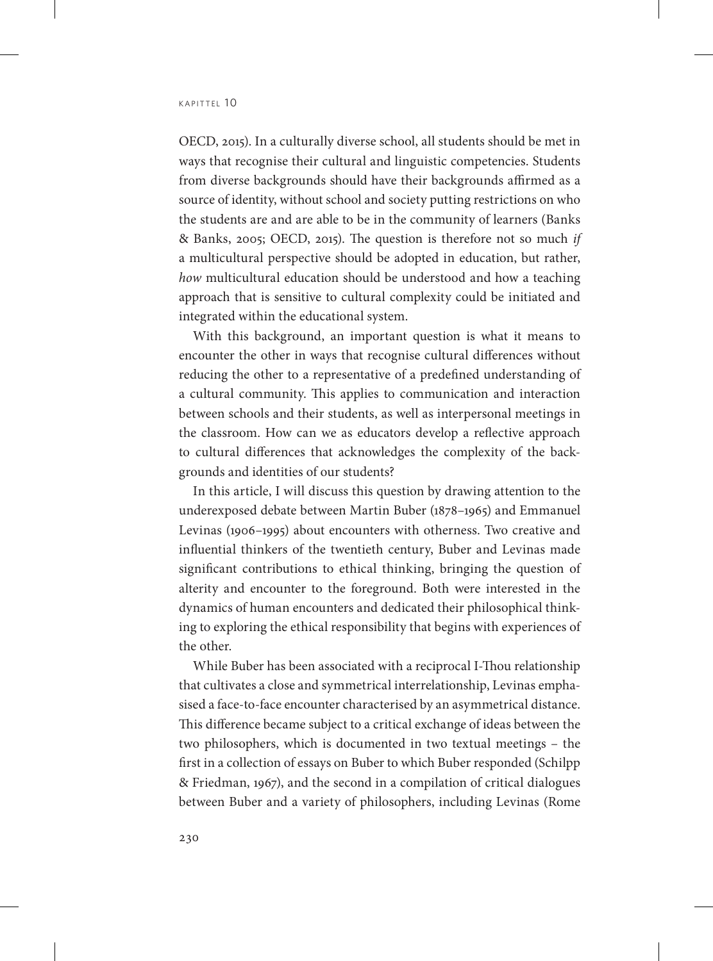OECD, 2015). In a culturally diverse school, all students should be met in ways that recognise their cultural and linguistic competencies. Students from diverse backgrounds should have their backgrounds affirmed as a source of identity, without school and society putting restrictions on who the students are and are able to be in the community of learners (Banks & Banks, 2005; OECD, 2015). The question is therefore not so much *if* a multicultural perspective should be adopted in education, but rather, *how* multicultural education should be understood and how a teaching approach that is sensitive to cultural complexity could be initiated and integrated within the educational system.

With this background, an important question is what it means to encounter the other in ways that recognise cultural differences without reducing the other to a representative of a predefined understanding of a cultural community. This applies to communication and interaction between schools and their students, as well as interpersonal meetings in the classroom. How can we as educators develop a reflective approach to cultural differences that acknowledges the complexity of the backgrounds and identities of our students?

In this article, I will discuss this question by drawing attention to the underexposed debate between Martin Buber (1878–1965) and Emmanuel Levinas (1906–1995) about encounters with otherness. Two creative and influential thinkers of the twentieth century, Buber and Levinas made significant contributions to ethical thinking, bringing the question of alterity and encounter to the foreground. Both were interested in the dynamics of human encounters and dedicated their philosophical thinking to exploring the ethical responsibility that begins with experiences of the other.

While Buber has been associated with a reciprocal I-Thou relationship that cultivates a close and symmetrical interrelationship, Levinas emphasised a face-to-face encounter characterised by an asymmetrical distance. This difference became subject to a critical exchange of ideas between the two philosophers, which is documented in two textual meetings – the first in a collection of essays on Buber to which Buber responded (Schilpp & Friedman, 1967), and the second in a compilation of critical dialogues between Buber and a variety of philosophers, including Levinas (Rome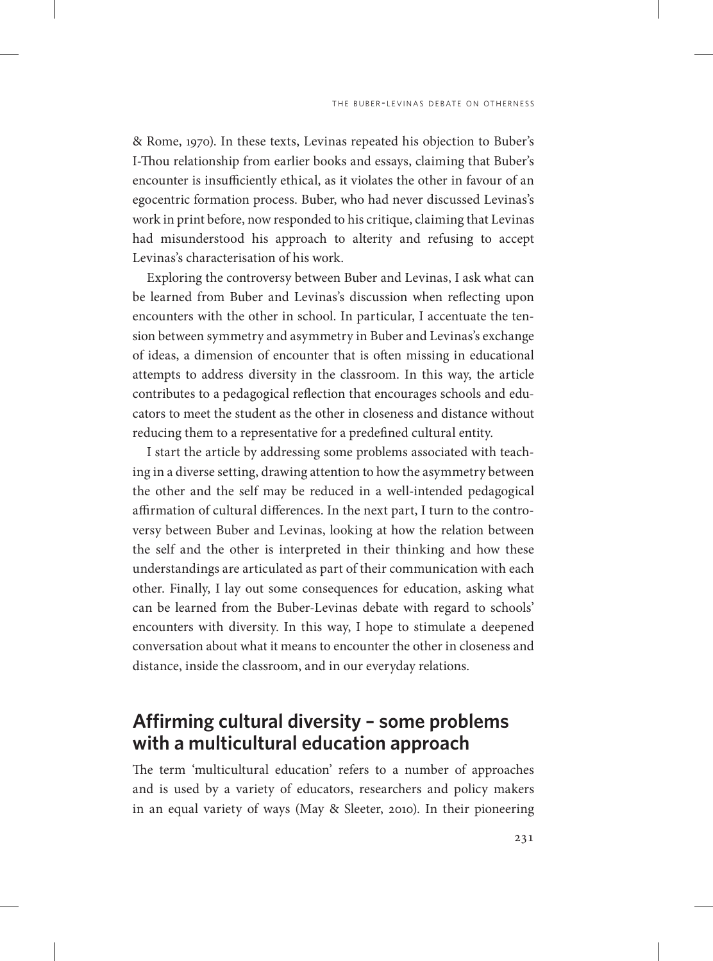& Rome, 1970). In these texts, Levinas repeated his objection to Buber's I-Thou relationship from earlier books and essays, claiming that Buber's encounter is insufficiently ethical, as it violates the other in favour of an egocentric formation process. Buber, who had never discussed Levinas's work in print before, now responded to his critique, claiming that Levinas had misunderstood his approach to alterity and refusing to accept Levinas's characterisation of his work.

Exploring the controversy between Buber and Levinas, I ask what can be learned from Buber and Levinas's discussion when reflecting upon encounters with the other in school. In particular, I accentuate the tension between symmetry and asymmetry in Buber and Levinas's exchange of ideas, a dimension of encounter that is often missing in educational attempts to address diversity in the classroom. In this way, the article contributes to a pedagogical reflection that encourages schools and educators to meet the student as the other in closeness and distance without reducing them to a representative for a predefined cultural entity.

I start the article by addressing some problems associated with teaching in a diverse setting, drawing attention to how the asymmetry between the other and the self may be reduced in a well-intended pedagogical affirmation of cultural differences. In the next part, I turn to the controversy between Buber and Levinas, looking at how the relation between the self and the other is interpreted in their thinking and how these understandings are articulated as part of their communication with each other. Finally, I lay out some consequences for education, asking what can be learned from the Buber-Levinas debate with regard to schools' encounters with diversity. In this way, I hope to stimulate a deepened conversation about what it means to encounter the other in closeness and distance, inside the classroom, and in our everyday relations.

### **Affirming cultural diversity – some problems with a multicultural education approach**

The term 'multicultural education' refers to a number of approaches and is used by a variety of educators, researchers and policy makers in an equal variety of ways (May & Sleeter, 2010). In their pioneering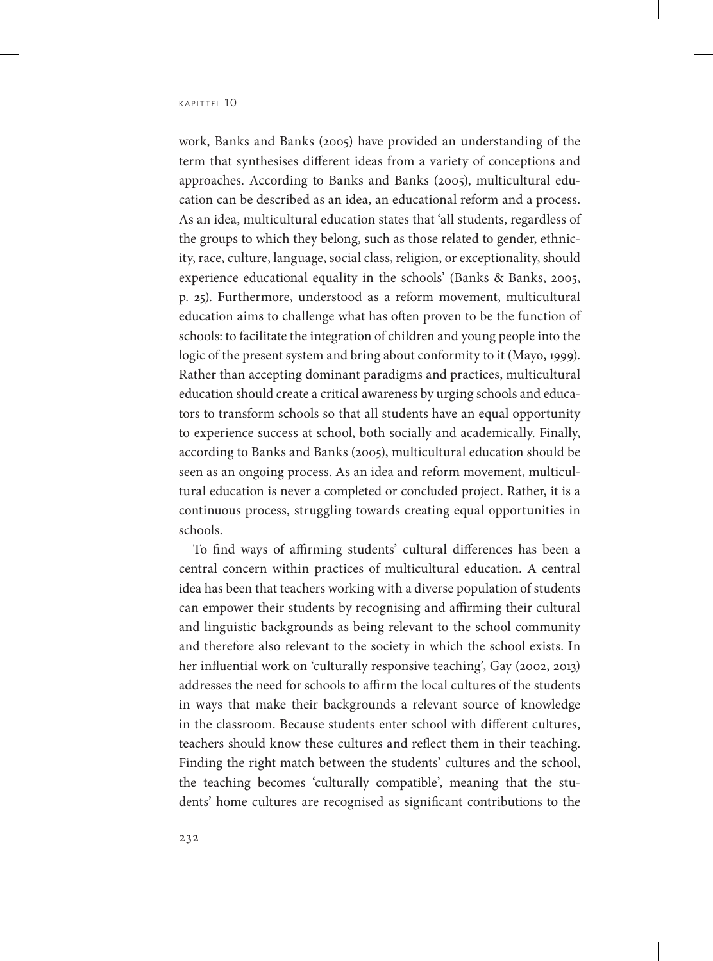work, Banks and Banks (2005) have provided an understanding of the term that synthesises different ideas from a variety of conceptions and approaches. According to Banks and Banks (2005), multicultural education can be described as an idea, an educational reform and a process. As an idea, multicultural education states that 'all students, regardless of the groups to which they belong, such as those related to gender, ethnicity, race, culture, language, social class, religion, or exceptionality, should experience educational equality in the schools' (Banks & Banks, 2005, p. 25). Furthermore, understood as a reform movement, multicultural education aims to challenge what has often proven to be the function of schools: to facilitate the integration of children and young people into the logic of the present system and bring about conformity to it (Mayo, 1999). Rather than accepting dominant paradigms and practices, multicultural education should create a critical awareness by urging schools and educators to transform schools so that all students have an equal opportunity to experience success at school, both socially and academically. Finally, according to Banks and Banks (2005), multicultural education should be seen as an ongoing process. As an idea and reform movement, multicultural education is never a completed or concluded project. Rather, it is a continuous process, struggling towards creating equal opportunities in schools.

To find ways of affirming students' cultural differences has been a central concern within practices of multicultural education. A central idea has been that teachers working with a diverse population of students can empower their students by recognising and affirming their cultural and linguistic backgrounds as being relevant to the school community and therefore also relevant to the society in which the school exists. In her influential work on 'culturally responsive teaching', Gay (2002, 2013) addresses the need for schools to affirm the local cultures of the students in ways that make their backgrounds a relevant source of knowledge in the classroom. Because students enter school with different cultures, teachers should know these cultures and reflect them in their teaching. Finding the right match between the students' cultures and the school, the teaching becomes 'culturally compatible', meaning that the students' home cultures are recognised as significant contributions to the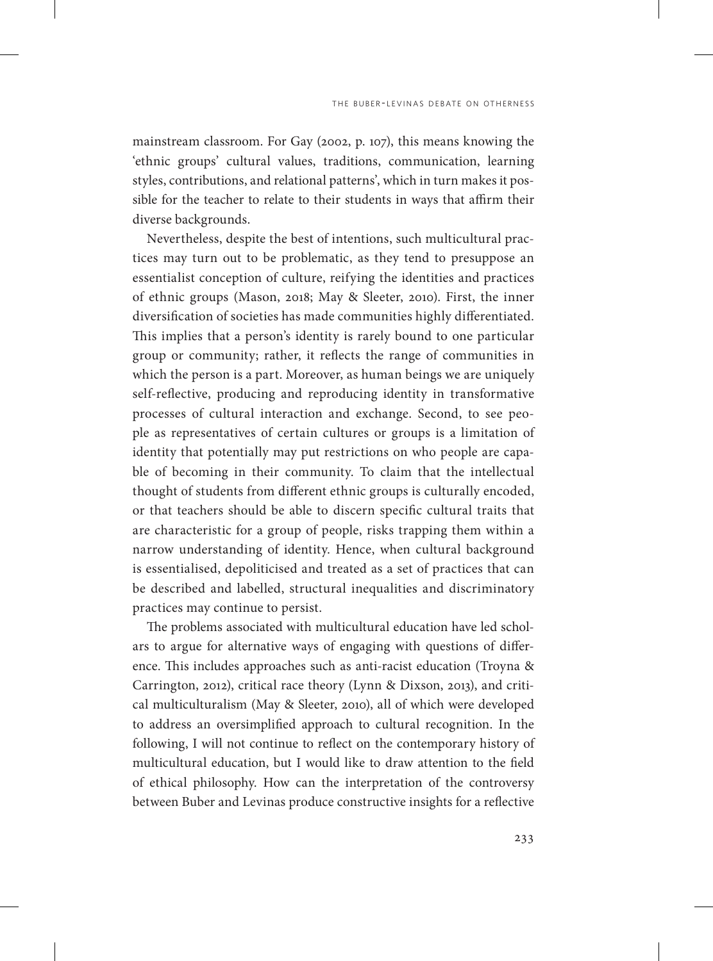mainstream classroom. For Gay (2002, p. 107), this means knowing the 'ethnic groups' cultural values, traditions, communication, learning styles, contributions, and relational patterns', which in turn makes it possible for the teacher to relate to their students in ways that affirm their diverse backgrounds.

Nevertheless, despite the best of intentions, such multicultural practices may turn out to be problematic, as they tend to presuppose an essentialist conception of culture, reifying the identities and practices of ethnic groups (Mason, 2018; May & Sleeter, 2010). First, the inner diversification of societies has made communities highly differentiated. This implies that a person's identity is rarely bound to one particular group or community; rather, it reflects the range of communities in which the person is a part. Moreover, as human beings we are uniquely self-reflective, producing and reproducing identity in transformative processes of cultural interaction and exchange. Second, to see people as representatives of certain cultures or groups is a limitation of identity that potentially may put restrictions on who people are capable of becoming in their community. To claim that the intellectual thought of students from different ethnic groups is culturally encoded, or that teachers should be able to discern specific cultural traits that are characteristic for a group of people, risks trapping them within a narrow understanding of identity. Hence, when cultural background is essentialised, depoliticised and treated as a set of practices that can be described and labelled, structural inequalities and discriminatory practices may continue to persist.

The problems associated with multicultural education have led scholars to argue for alternative ways of engaging with questions of difference. This includes approaches such as anti-racist education (Troyna & Carrington, 2012), critical race theory (Lynn & Dixson, 2013), and critical multiculturalism (May & Sleeter, 2010), all of which were developed to address an oversimplified approach to cultural recognition. In the following, I will not continue to reflect on the contemporary history of multicultural education, but I would like to draw attention to the field of ethical philosophy. How can the interpretation of the controversy between Buber and Levinas produce constructive insights for a reflective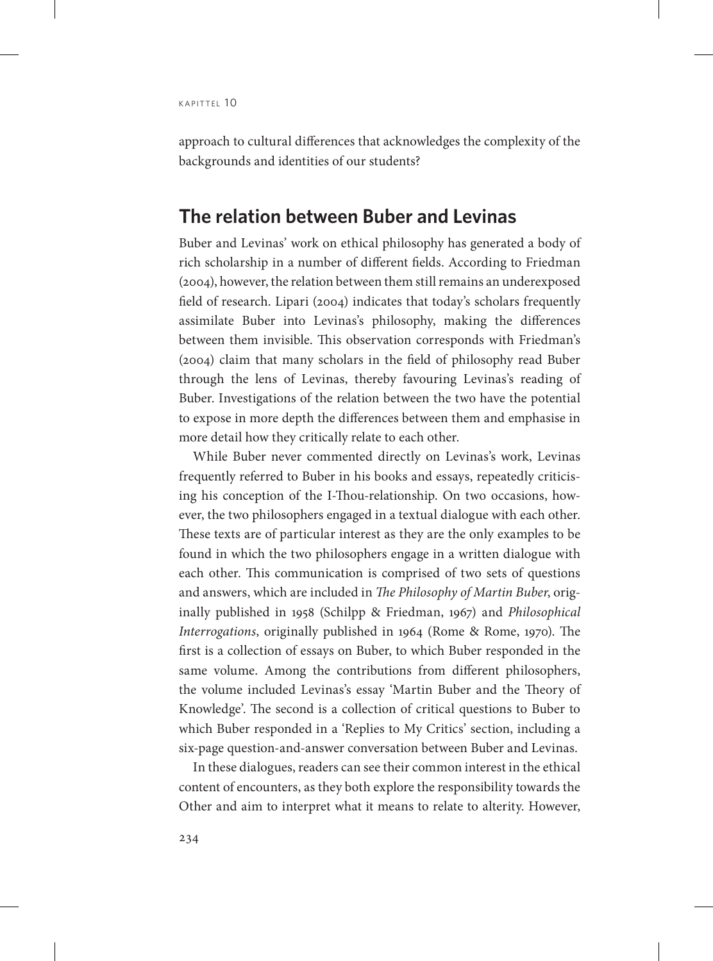approach to cultural differences that acknowledges the complexity of the backgrounds and identities of our students?

#### **The relation between Buber and Levinas**

Buber and Levinas' work on ethical philosophy has generated a body of rich scholarship in a number of different fields. According to Friedman (2004), however, the relation between them still remains an underexposed field of research. Lipari (2004) indicates that today's scholars frequently assimilate Buber into Levinas's philosophy, making the differences between them invisible. This observation corresponds with Friedman's (2004) claim that many scholars in the field of philosophy read Buber through the lens of Levinas, thereby favouring Levinas's reading of Buber. Investigations of the relation between the two have the potential to expose in more depth the differences between them and emphasise in more detail how they critically relate to each other.

While Buber never commented directly on Levinas's work, Levinas frequently referred to Buber in his books and essays, repeatedly criticising his conception of the I-Thou-relationship. On two occasions, however, the two philosophers engaged in a textual dialogue with each other. These texts are of particular interest as they are the only examples to be found in which the two philosophers engage in a written dialogue with each other. This communication is comprised of two sets of questions and answers, which are included in *The Philosophy of Martin Buber*, originally published in 1958 (Schilpp & Friedman, 1967) and *Philosophical Interrogations*, originally published in 1964 (Rome & Rome, 1970). The first is a collection of essays on Buber, to which Buber responded in the same volume. Among the contributions from different philosophers, the volume included Levinas's essay 'Martin Buber and the Theory of Knowledge'. The second is a collection of critical questions to Buber to which Buber responded in a 'Replies to My Critics' section, including a six-page question-and-answer conversation between Buber and Levinas.

In these dialogues, readers can see their common interest in the ethical content of encounters, as they both explore the responsibility towards the Other and aim to interpret what it means to relate to alterity. However,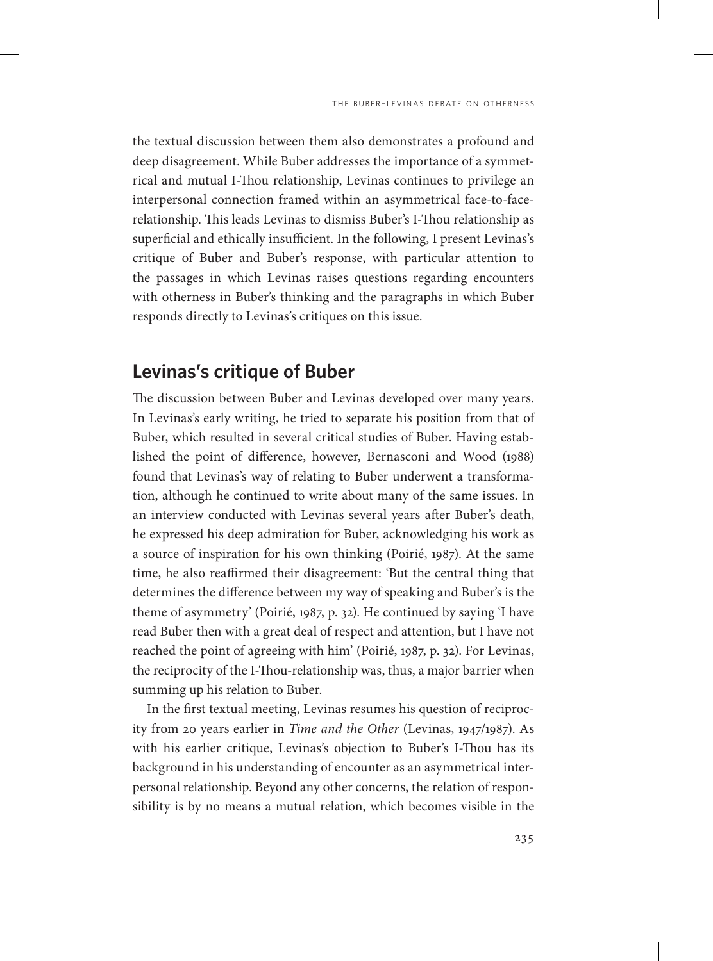the textual discussion between them also demonstrates a profound and deep disagreement. While Buber addresses the importance of a symmetrical and mutual I-Thou relationship, Levinas continues to privilege an interpersonal connection framed within an asymmetrical face-to-facerelationship. This leads Levinas to dismiss Buber's I-Thou relationship as superficial and ethically insufficient. In the following, I present Levinas's critique of Buber and Buber's response, with particular attention to the passages in which Levinas raises questions regarding encounters with otherness in Buber's thinking and the paragraphs in which Buber responds directly to Levinas's critiques on this issue.

#### **Levinas's critique of Buber**

The discussion between Buber and Levinas developed over many years. In Levinas's early writing, he tried to separate his position from that of Buber, which resulted in several critical studies of Buber. Having established the point of difference, however, Bernasconi and Wood (1988) found that Levinas's way of relating to Buber underwent a transformation, although he continued to write about many of the same issues. In an interview conducted with Levinas several years after Buber's death, he expressed his deep admiration for Buber, acknowledging his work as a source of inspiration for his own thinking (Poirié, 1987). At the same time, he also reaffirmed their disagreement: 'But the central thing that determines the difference between my way of speaking and Buber's is the theme of asymmetry' (Poirié, 1987, p. 32). He continued by saying 'I have read Buber then with a great deal of respect and attention, but I have not reached the point of agreeing with him' (Poirié, 1987, p. 32). For Levinas, the reciprocity of the I-Thou-relationship was, thus, a major barrier when summing up his relation to Buber.

In the first textual meeting, Levinas resumes his question of reciprocity from 20 years earlier in *Time and the Other* (Levinas, 1947/1987). As with his earlier critique, Levinas's objection to Buber's I-Thou has its background in his understanding of encounter as an asymmetrical interpersonal relationship. Beyond any other concerns, the relation of responsibility is by no means a mutual relation, which becomes visible in the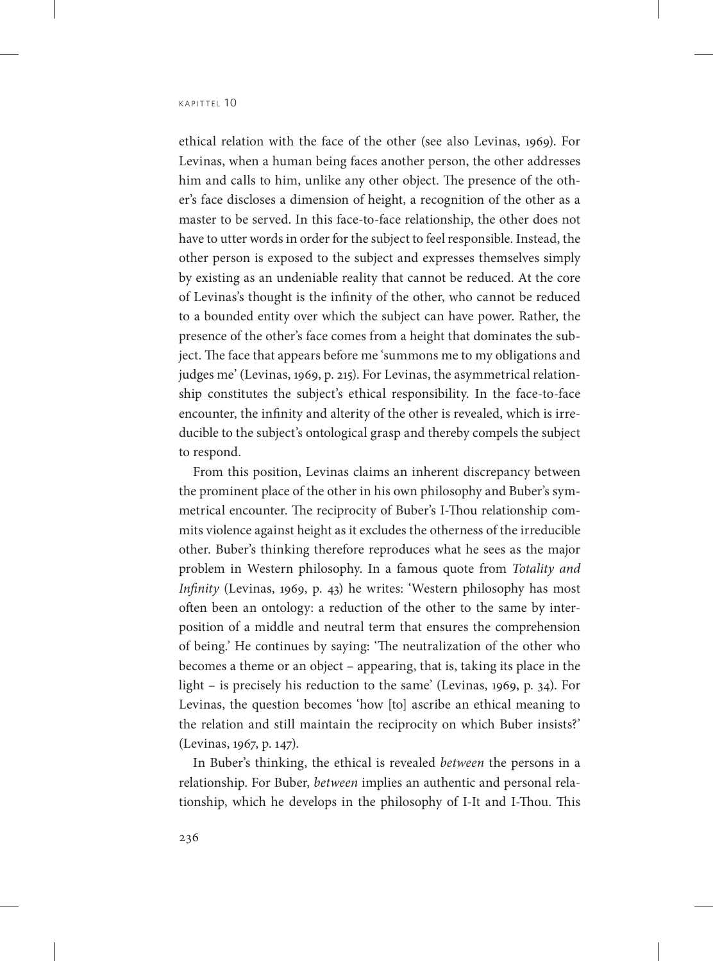ethical relation with the face of the other (see also Levinas, 1969). For Levinas, when a human being faces another person, the other addresses him and calls to him, unlike any other object. The presence of the other's face discloses a dimension of height, a recognition of the other as a master to be served. In this face-to-face relationship, the other does not have to utter words in order for the subject to feel responsible. Instead, the other person is exposed to the subject and expresses themselves simply by existing as an undeniable reality that cannot be reduced. At the core of Levinas's thought is the infinity of the other, who cannot be reduced to a bounded entity over which the subject can have power. Rather, the presence of the other's face comes from a height that dominates the subject. The face that appears before me 'summons me to my obligations and judges me' (Levinas, 1969, p. 215). For Levinas, the asymmetrical relationship constitutes the subject's ethical responsibility. In the face-to-face encounter, the infinity and alterity of the other is revealed, which is irreducible to the subject's ontological grasp and thereby compels the subject to respond.

From this position, Levinas claims an inherent discrepancy between the prominent place of the other in his own philosophy and Buber's symmetrical encounter. The reciprocity of Buber's I-Thou relationship commits violence against height as it excludes the otherness of the irreducible other. Buber's thinking therefore reproduces what he sees as the major problem in Western philosophy. In a famous quote from *Totality and Infinity* (Levinas, 1969, p. 43) he writes: 'Western philosophy has most often been an ontology: a reduction of the other to the same by interposition of a middle and neutral term that ensures the comprehension of being.' He continues by saying: 'The neutralization of the other who becomes a theme or an object – appearing, that is, taking its place in the light – is precisely his reduction to the same' (Levinas, 1969, p. 34). For Levinas, the question becomes 'how [to] ascribe an ethical meaning to the relation and still maintain the reciprocity on which Buber insists?' (Levinas, 1967, p. 147).

In Buber's thinking, the ethical is revealed *between* the persons in a relationship. For Buber, *between* implies an authentic and personal relationship, which he develops in the philosophy of I-It and I-Thou. This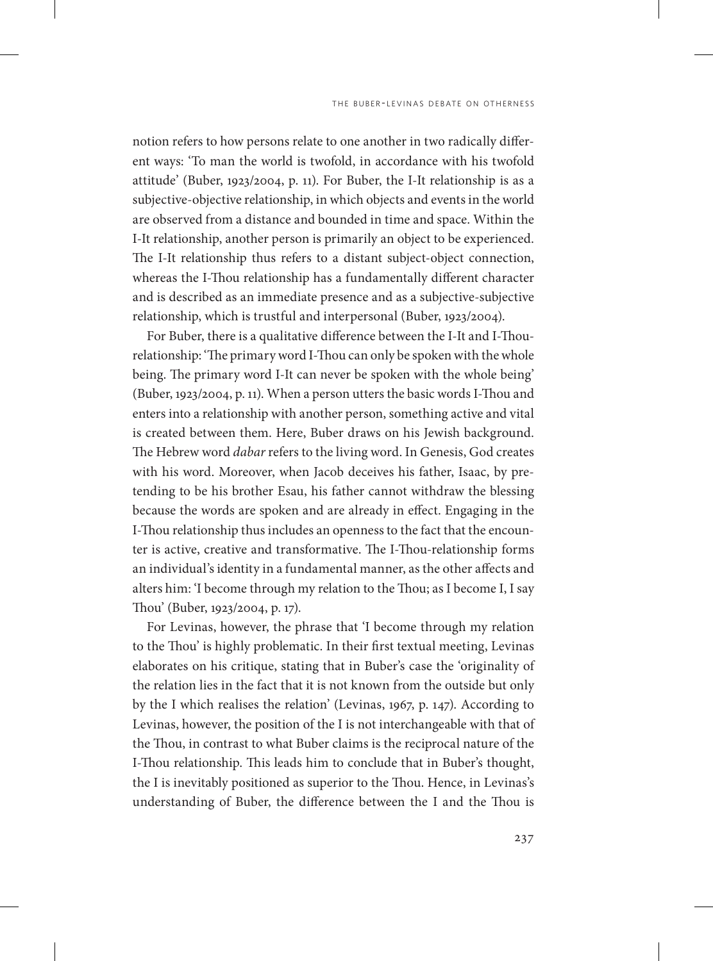notion refers to how persons relate to one another in two radically different ways: 'To man the world is twofold, in accordance with his twofold attitude' (Buber, 1923/2004, p. 11). For Buber, the I-It relationship is as a subjective-objective relationship, in which objects and events in the world are observed from a distance and bounded in time and space. Within the I-It relationship, another person is primarily an object to be experienced. The I-It relationship thus refers to a distant subject-object connection, whereas the I-Thou relationship has a fundamentally different character and is described as an immediate presence and as a subjective-subjective relationship, which is trustful and interpersonal (Buber, 1923/2004).

For Buber, there is a qualitative difference between the I-It and I-Thourelationship: 'The primary word I-Thou can only be spoken with the whole being. The primary word I-It can never be spoken with the whole being' (Buber, 1923/2004, p. 11). When a person utters the basic words I-Thou and enters into a relationship with another person, something active and vital is created between them. Here, Buber draws on his Jewish background. The Hebrew word *dabar* refers to the living word. In Genesis, God creates with his word. Moreover, when Jacob deceives his father, Isaac, by pretending to be his brother Esau, his father cannot withdraw the blessing because the words are spoken and are already in effect. Engaging in the I-Thou relationship thus includes an openness to the fact that the encounter is active, creative and transformative. The I-Thou-relationship forms an individual's identity in a fundamental manner, as the other affects and alters him: 'I become through my relation to the Thou; as I become I, I say Thou' (Buber, 1923/2004, p. 17).

For Levinas, however, the phrase that 'I become through my relation to the Thou' is highly problematic. In their first textual meeting, Levinas elaborates on his critique, stating that in Buber's case the 'originality of the relation lies in the fact that it is not known from the outside but only by the I which realises the relation' (Levinas, 1967, p. 147). According to Levinas, however, the position of the I is not interchangeable with that of the Thou, in contrast to what Buber claims is the reciprocal nature of the I-Thou relationship. This leads him to conclude that in Buber's thought, the I is inevitably positioned as superior to the Thou. Hence, in Levinas's understanding of Buber, the difference between the I and the Thou is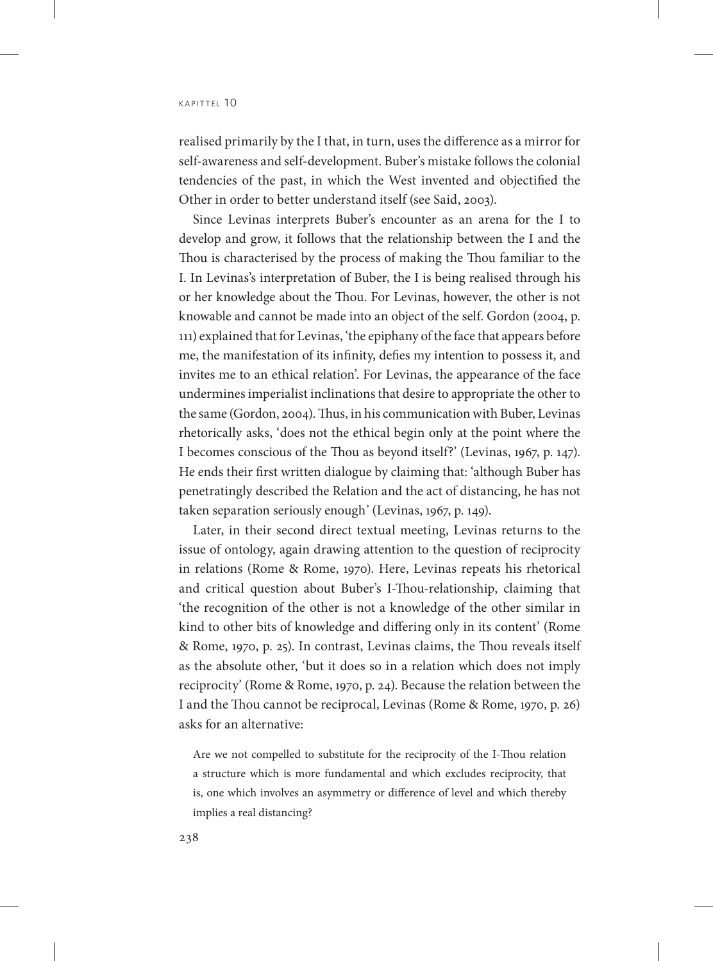realised primarily by the I that, in turn, uses the difference as a mirror for self-awareness and self-development. Buber's mistake follows the colonial tendencies of the past, in which the West invented and objectified the Other in order to better understand itself (see Said, 2003).

Since Levinas interprets Buber's encounter as an arena for the I to develop and grow, it follows that the relationship between the I and the Thou is characterised by the process of making the Thou familiar to the I. In Levinas's interpretation of Buber, the I is being realised through his or her knowledge about the Thou. For Levinas, however, the other is not knowable and cannot be made into an object of the self. Gordon (2004, p. 111) explained that for Levinas, 'the epiphany of the face that appears before me, the manifestation of its infinity, defies my intention to possess it, and invites me to an ethical relation'. For Levinas, the appearance of the face undermines imperialist inclinations that desire to appropriate the other to the same (Gordon, 2004). Thus, in his communication with Buber, Levinas rhetorically asks, 'does not the ethical begin only at the point where the I becomes conscious of the Thou as beyond itself?' (Levinas, 1967, p. 147). He ends their first written dialogue by claiming that: 'although Buber has penetratingly described the Relation and the act of distancing, he has not taken separation seriously enough' (Levinas, 1967, p. 149).

Later, in their second direct textual meeting, Levinas returns to the issue of ontology, again drawing attention to the question of reciprocity in relations (Rome & Rome, 1970). Here, Levinas repeats his rhetorical and critical question about Buber's I-Thou-relationship, claiming that 'the recognition of the other is not a knowledge of the other similar in kind to other bits of knowledge and differing only in its content' (Rome & Rome, 1970, p. 25). In contrast, Levinas claims, the Thou reveals itself as the absolute other, 'but it does so in a relation which does not imply reciprocity' (Rome & Rome, 1970, p. 24). Because the relation between the I and the Thou cannot be reciprocal, Levinas (Rome & Rome, 1970, p. 26) asks for an alternative:

Are we not compelled to substitute for the reciprocity of the I-Thou relation a structure which is more fundamental and which excludes reciprocity, that is, one which involves an asymmetry or difference of level and which thereby implies a real distancing?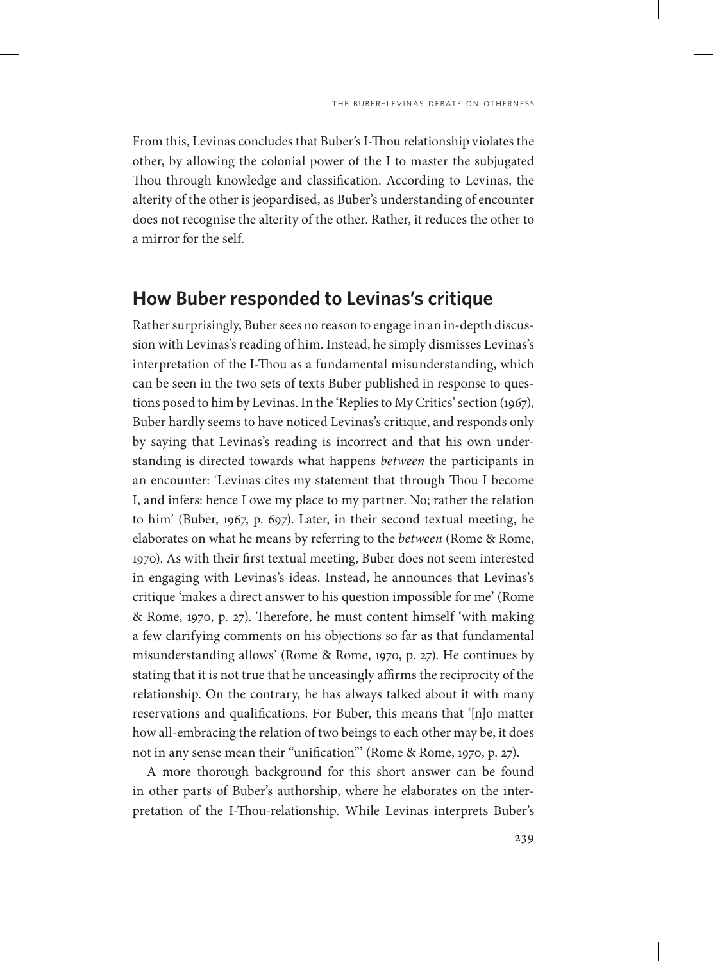From this, Levinas concludes that Buber's I-Thou relationship violates the other, by allowing the colonial power of the I to master the subjugated Thou through knowledge and classification. According to Levinas, the alterity of the other is jeopardised, as Buber's understanding of encounter does not recognise the alterity of the other. Rather, it reduces the other to a mirror for the self.

#### **How Buber responded to Levinas's critique**

Rather surprisingly, Buber sees no reason to engage in an in-depth discussion with Levinas's reading of him. Instead, he simply dismisses Levinas's interpretation of the I-Thou as a fundamental misunderstanding, which can be seen in the two sets of texts Buber published in response to questions posed to him by Levinas. In the 'Replies to My Critics' section (1967), Buber hardly seems to have noticed Levinas's critique, and responds only by saying that Levinas's reading is incorrect and that his own understanding is directed towards what happens *between* the participants in an encounter: 'Levinas cites my statement that through Thou I become I, and infers: hence I owe my place to my partner. No; rather the relation to him' (Buber, 1967, p. 697). Later, in their second textual meeting, he elaborates on what he means by referring to the *between* (Rome & Rome, 1970). As with their first textual meeting, Buber does not seem interested in engaging with Levinas's ideas. Instead, he announces that Levinas's critique 'makes a direct answer to his question impossible for me' (Rome & Rome, 1970, p. 27). Therefore, he must content himself 'with making a few clarifying comments on his objections so far as that fundamental misunderstanding allows' (Rome & Rome, 1970, p. 27). He continues by stating that it is not true that he unceasingly affirms the reciprocity of the relationship. On the contrary, he has always talked about it with many reservations and qualifications. For Buber, this means that '[n]o matter how all-embracing the relation of two beings to each other may be, it does not in any sense mean their "unification"' (Rome & Rome, 1970, p. 27).

A more thorough background for this short answer can be found in other parts of Buber's authorship, where he elaborates on the interpretation of the I-Thou-relationship. While Levinas interprets Buber's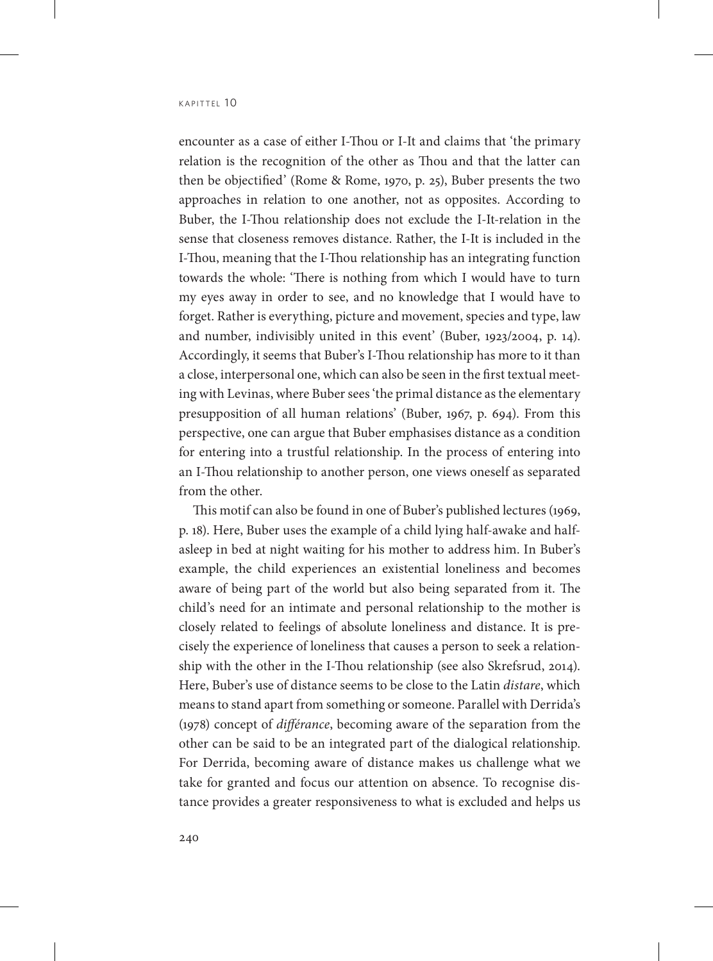encounter as a case of either I-Thou or I-It and claims that 'the primary relation is the recognition of the other as Thou and that the latter can then be objectified' (Rome & Rome, 1970, p. 25), Buber presents the two approaches in relation to one another, not as opposites. According to Buber, the I-Thou relationship does not exclude the I-It-relation in the sense that closeness removes distance. Rather, the I-It is included in the I-Thou, meaning that the I-Thou relationship has an integrating function towards the whole: 'There is nothing from which I would have to turn my eyes away in order to see, and no knowledge that I would have to forget. Rather is everything, picture and movement, species and type, law and number, indivisibly united in this event' (Buber, 1923/2004, p. 14). Accordingly, it seems that Buber's I-Thou relationship has more to it than a close, interpersonal one, which can also be seen in the first textual meeting with Levinas, where Buber sees 'the primal distance as the elementary presupposition of all human relations' (Buber, 1967, p. 694). From this perspective, one can argue that Buber emphasises distance as a condition for entering into a trustful relationship. In the process of entering into an I-Thou relationship to another person, one views oneself as separated from the other.

This motif can also be found in one of Buber's published lectures (1969, p. 18). Here, Buber uses the example of a child lying half-awake and halfasleep in bed at night waiting for his mother to address him. In Buber's example, the child experiences an existential loneliness and becomes aware of being part of the world but also being separated from it. The child's need for an intimate and personal relationship to the mother is closely related to feelings of absolute loneliness and distance. It is precisely the experience of loneliness that causes a person to seek a relationship with the other in the I-Thou relationship (see also Skrefsrud, 2014). Here, Buber's use of distance seems to be close to the Latin *distare*, which means to stand apart from something or someone. Parallel with Derrida's (1978) concept of *différance*, becoming aware of the separation from the other can be said to be an integrated part of the dialogical relationship. For Derrida, becoming aware of distance makes us challenge what we take for granted and focus our attention on absence. To recognise distance provides a greater responsiveness to what is excluded and helps us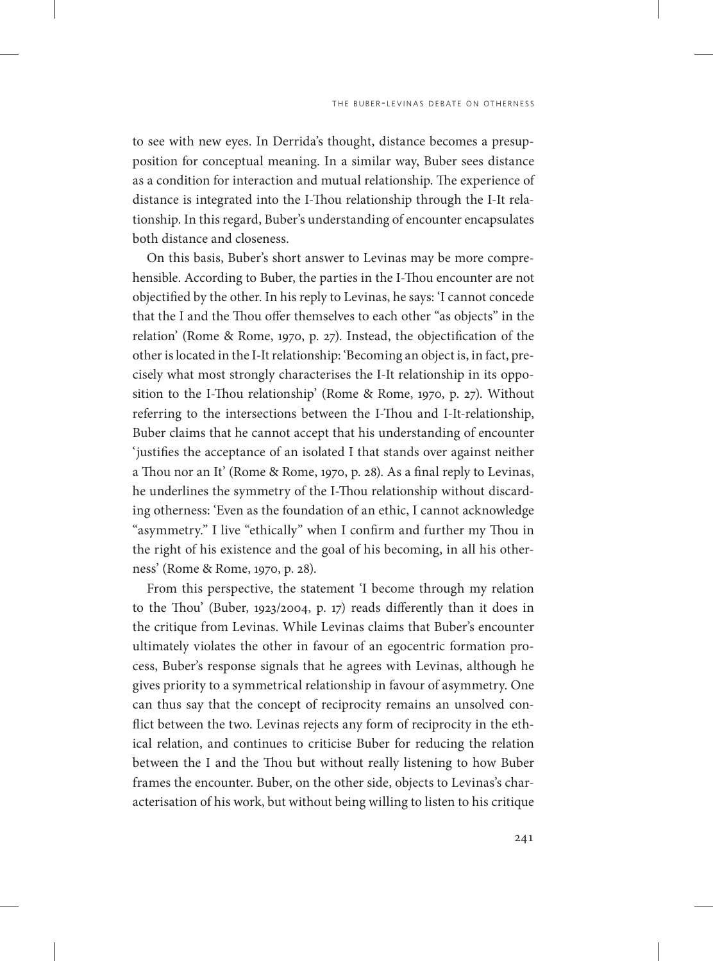to see with new eyes. In Derrida's thought, distance becomes a presupposition for conceptual meaning. In a similar way, Buber sees distance as a condition for interaction and mutual relationship. The experience of distance is integrated into the I-Thou relationship through the I-It relationship. In this regard, Buber's understanding of encounter encapsulates both distance and closeness.

On this basis, Buber's short answer to Levinas may be more comprehensible. According to Buber, the parties in the I-Thou encounter are not objectified by the other. In his reply to Levinas, he says: 'I cannot concede that the I and the Thou offer themselves to each other "as objects" in the relation' (Rome & Rome, 1970, p. 27). Instead, the objectification of the other is located in the I-It relationship: 'Becoming an object is, in fact, precisely what most strongly characterises the I-It relationship in its opposition to the I-Thou relationship' (Rome & Rome, 1970, p. 27). Without referring to the intersections between the I-Thou and I-It-relationship, Buber claims that he cannot accept that his understanding of encounter 'justifies the acceptance of an isolated I that stands over against neither a Thou nor an It' (Rome & Rome, 1970, p. 28). As a final reply to Levinas, he underlines the symmetry of the I-Thou relationship without discarding otherness: 'Even as the foundation of an ethic, I cannot acknowledge "asymmetry." I live "ethically" when I confirm and further my Thou in the right of his existence and the goal of his becoming, in all his otherness' (Rome & Rome, 1970, p. 28).

From this perspective, the statement 'I become through my relation to the Thou' (Buber, 1923/2004, p. 17) reads differently than it does in the critique from Levinas. While Levinas claims that Buber's encounter ultimately violates the other in favour of an egocentric formation process, Buber's response signals that he agrees with Levinas, although he gives priority to a symmetrical relationship in favour of asymmetry. One can thus say that the concept of reciprocity remains an unsolved conflict between the two. Levinas rejects any form of reciprocity in the ethical relation, and continues to criticise Buber for reducing the relation between the I and the Thou but without really listening to how Buber frames the encounter. Buber, on the other side, objects to Levinas's characterisation of his work, but without being willing to listen to his critique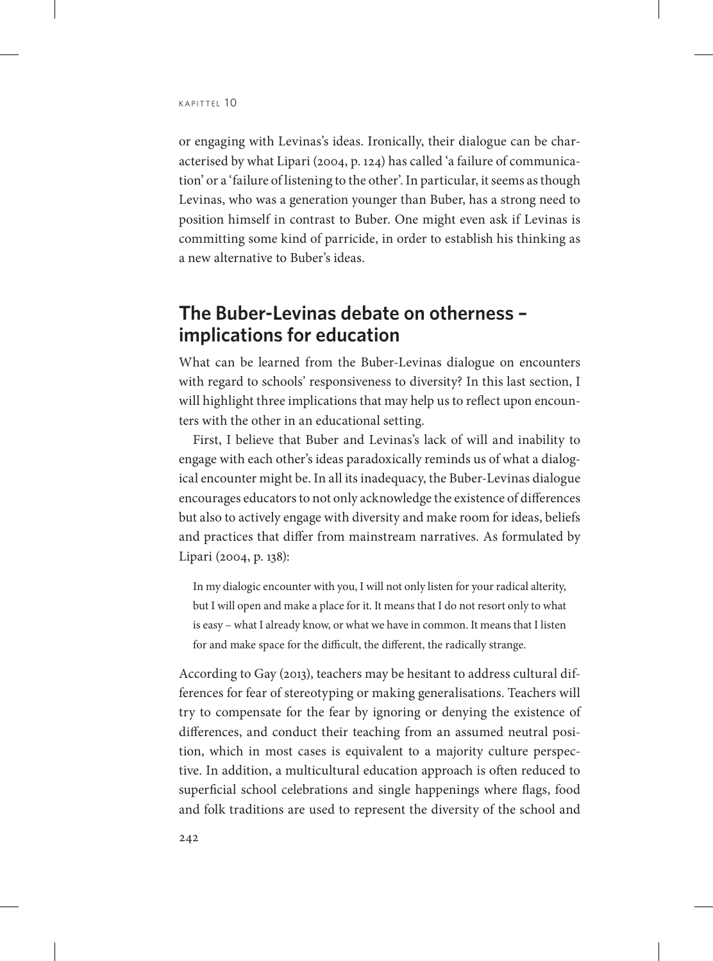or engaging with Levinas's ideas. Ironically, their dialogue can be characterised by what Lipari (2004, p. 124) has called 'a failure of communication' or a 'failure of listening to the other'. In particular, it seems as though Levinas, who was a generation younger than Buber, has a strong need to position himself in contrast to Buber. One might even ask if Levinas is committing some kind of parricide, in order to establish his thinking as a new alternative to Buber's ideas.

## **The Buber-Levinas debate on otherness – implications for education**

What can be learned from the Buber-Levinas dialogue on encounters with regard to schools' responsiveness to diversity? In this last section, I will highlight three implications that may help us to reflect upon encounters with the other in an educational setting.

First, I believe that Buber and Levinas's lack of will and inability to engage with each other's ideas paradoxically reminds us of what a dialogical encounter might be. In all its inadequacy, the Buber-Levinas dialogue encourages educators to not only acknowledge the existence of differences but also to actively engage with diversity and make room for ideas, beliefs and practices that differ from mainstream narratives. As formulated by Lipari (2004, p. 138):

In my dialogic encounter with you, I will not only listen for your radical alterity, but I will open and make a place for it. It means that I do not resort only to what is easy – what I already know, or what we have in common. It means that I listen for and make space for the difficult, the different, the radically strange.

According to Gay (2013), teachers may be hesitant to address cultural differences for fear of stereotyping or making generalisations. Teachers will try to compensate for the fear by ignoring or denying the existence of differences, and conduct their teaching from an assumed neutral position, which in most cases is equivalent to a majority culture perspective. In addition, a multicultural education approach is often reduced to superficial school celebrations and single happenings where flags, food and folk traditions are used to represent the diversity of the school and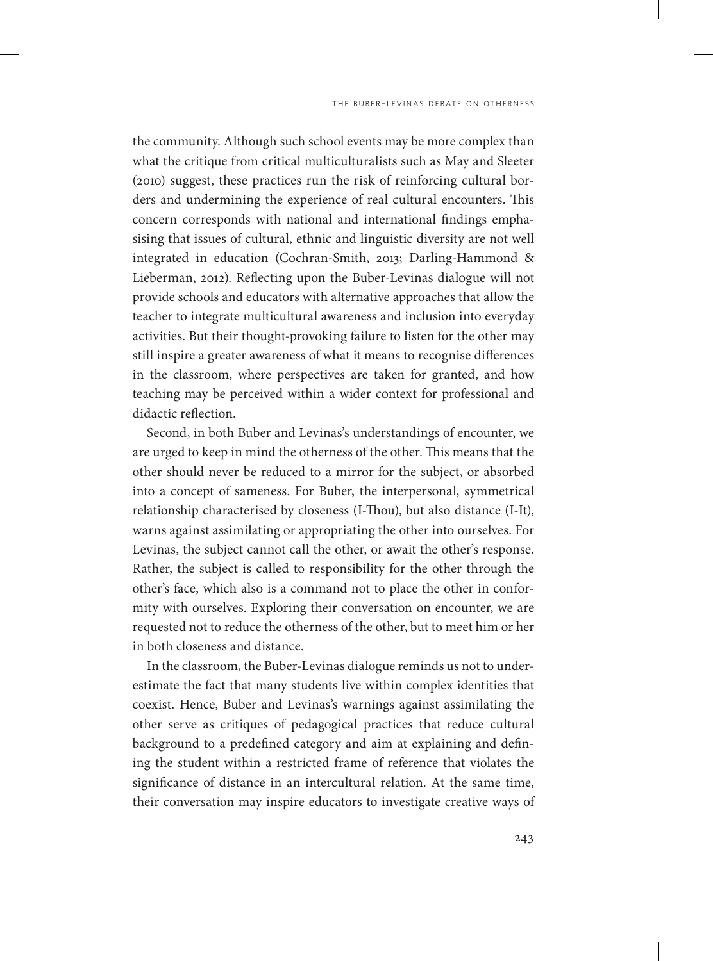the community. Although such school events may be more complex than what the critique from critical multiculturalists such as May and Sleeter (2010) suggest, these practices run the risk of reinforcing cultural borders and undermining the experience of real cultural encounters. This concern corresponds with national and international findings emphasising that issues of cultural, ethnic and linguistic diversity are not well integrated in education (Cochran-Smith, 2013; Darling-Hammond & Lieberman, 2012). Reflecting upon the Buber-Levinas dialogue will not provide schools and educators with alternative approaches that allow the teacher to integrate multicultural awareness and inclusion into everyday activities. But their thought-provoking failure to listen for the other may still inspire a greater awareness of what it means to recognise differences in the classroom, where perspectives are taken for granted, and how teaching may be perceived within a wider context for professional and didactic reflection.

Second, in both Buber and Levinas's understandings of encounter, we are urged to keep in mind the otherness of the other. This means that the other should never be reduced to a mirror for the subject, or absorbed into a concept of sameness. For Buber, the interpersonal, symmetrical relationship characterised by closeness (I-Thou), but also distance (I-It), warns against assimilating or appropriating the other into ourselves. For Levinas, the subject cannot call the other, or await the other's response. Rather, the subject is called to responsibility for the other through the other's face, which also is a command not to place the other in conformity with ourselves. Exploring their conversation on encounter, we are requested not to reduce the otherness of the other, but to meet him or her in both closeness and distance.

In the classroom, the Buber-Levinas dialogue reminds us not to underestimate the fact that many students live within complex identities that coexist. Hence, Buber and Levinas's warnings against assimilating the other serve as critiques of pedagogical practices that reduce cultural background to a predefined category and aim at explaining and defining the student within a restricted frame of reference that violates the significance of distance in an intercultural relation. At the same time, their conversation may inspire educators to investigate creative ways of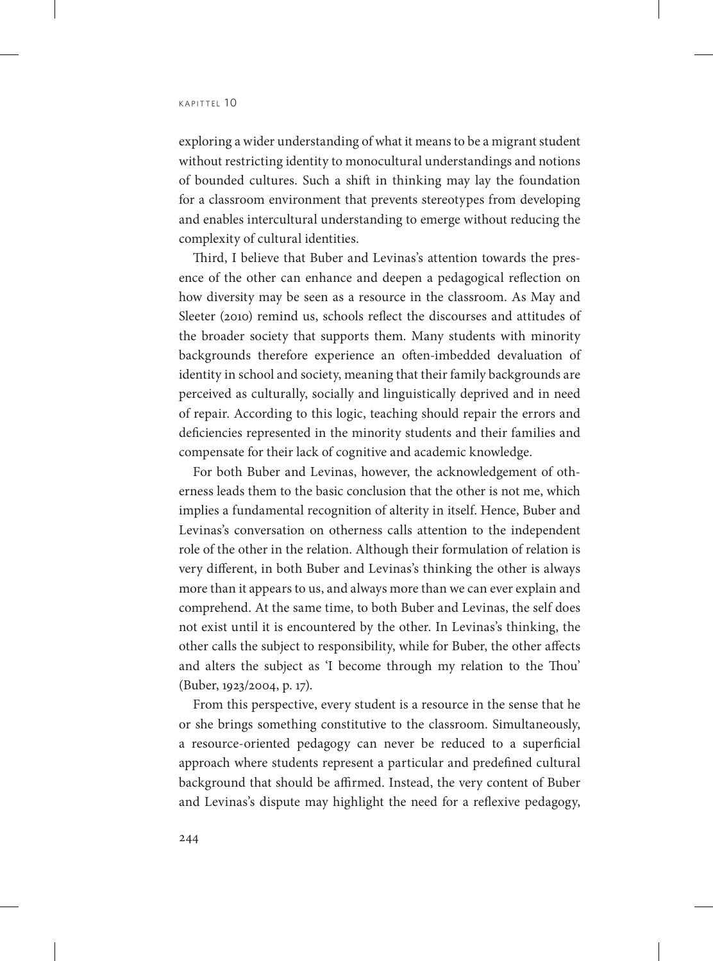exploring a wider understanding of what it means to be a migrant student without restricting identity to monocultural understandings and notions of bounded cultures. Such a shift in thinking may lay the foundation for a classroom environment that prevents stereotypes from developing and enables intercultural understanding to emerge without reducing the complexity of cultural identities.

Third, I believe that Buber and Levinas's attention towards the presence of the other can enhance and deepen a pedagogical reflection on how diversity may be seen as a resource in the classroom. As May and Sleeter (2010) remind us, schools reflect the discourses and attitudes of the broader society that supports them. Many students with minority backgrounds therefore experience an often-imbedded devaluation of identity in school and society, meaning that their family backgrounds are perceived as culturally, socially and linguistically deprived and in need of repair. According to this logic, teaching should repair the errors and deficiencies represented in the minority students and their families and compensate for their lack of cognitive and academic knowledge.

For both Buber and Levinas, however, the acknowledgement of otherness leads them to the basic conclusion that the other is not me, which implies a fundamental recognition of alterity in itself. Hence, Buber and Levinas's conversation on otherness calls attention to the independent role of the other in the relation. Although their formulation of relation is very different, in both Buber and Levinas's thinking the other is always more than it appears to us, and always more than we can ever explain and comprehend. At the same time, to both Buber and Levinas, the self does not exist until it is encountered by the other. In Levinas's thinking, the other calls the subject to responsibility, while for Buber, the other affects and alters the subject as 'I become through my relation to the Thou' (Buber, 1923/2004, p. 17).

From this perspective, every student is a resource in the sense that he or she brings something constitutive to the classroom. Simultaneously, a resource-oriented pedagogy can never be reduced to a superficial approach where students represent a particular and predefined cultural background that should be affirmed. Instead, the very content of Buber and Levinas's dispute may highlight the need for a reflexive pedagogy,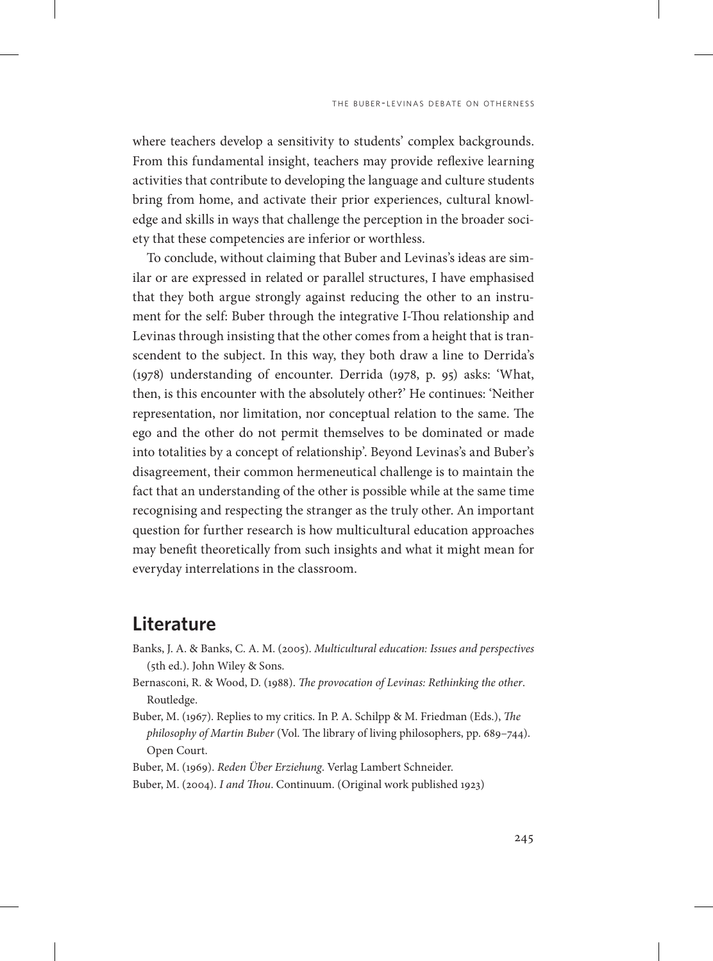where teachers develop a sensitivity to students' complex backgrounds. From this fundamental insight, teachers may provide reflexive learning activities that contribute to developing the language and culture students bring from home, and activate their prior experiences, cultural knowledge and skills in ways that challenge the perception in the broader society that these competencies are inferior or worthless.

To conclude, without claiming that Buber and Levinas's ideas are similar or are expressed in related or parallel structures, I have emphasised that they both argue strongly against reducing the other to an instrument for the self: Buber through the integrative I-Thou relationship and Levinas through insisting that the other comes from a height that is transcendent to the subject. In this way, they both draw a line to Derrida's (1978) understanding of encounter. Derrida (1978, p. 95) asks: 'What, then, is this encounter with the absolutely other?' He continues: 'Neither representation, nor limitation, nor conceptual relation to the same. The ego and the other do not permit themselves to be dominated or made into totalities by a concept of relationship'. Beyond Levinas's and Buber's disagreement, their common hermeneutical challenge is to maintain the fact that an understanding of the other is possible while at the same time recognising and respecting the stranger as the truly other. An important question for further research is how multicultural education approaches may benefit theoretically from such insights and what it might mean for everyday interrelations in the classroom.

#### **Literature**

- Banks, J. A. & Banks, C. A. M. (2005). *Multicultural education: Issues and perspectives*  (5th ed.). John Wiley & Sons.
- Bernasconi, R. & Wood, D. (1988). *The provocation of Levinas: Rethinking the other*. Routledge.
- Buber, M. (1967). Replies to my critics. In P. A. Schilpp & M. Friedman (Eds.), *The philosophy of Martin Buber* (Vol. The library of living philosophers, pp. 689–744). Open Court.
- Buber, M. (1969). *Reden Über Erziehung*. Verlag Lambert Schneider.
- Buber, M. (2004). *I and Thou*. Continuum. (Original work published 1923)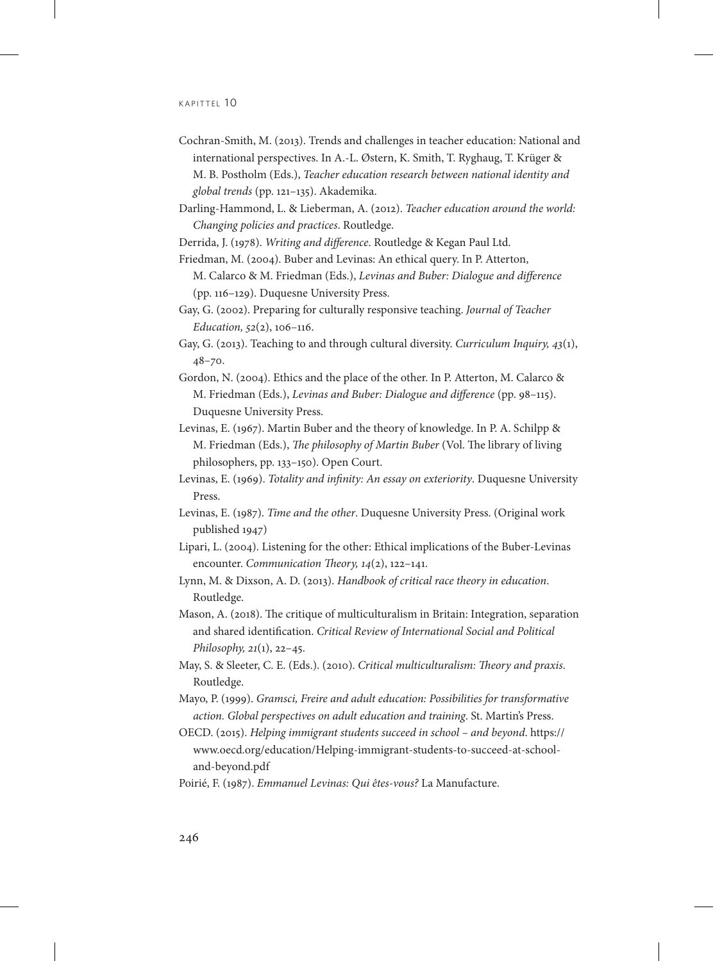#### $K$  A PITTFI  $10$

- Cochran-Smith, M. (2013). Trends and challenges in teacher education: National and international perspectives. In A.-L. Østern, K. Smith, T. Ryghaug, T. Krüger & M. B. Postholm (Eds.), *Teacher education research between national identity and global trends* (pp. 121–135). Akademika.
- Darling-Hammond, L. & Lieberman, A. (2012). *Teacher education around the world: Changing policies and practices*. Routledge.
- Derrida, J. (1978). *Writing and difference*. Routledge & Kegan Paul Ltd.
- Friedman, M. (2004). Buber and Levinas: An ethical query. In P. Atterton, M. Calarco & M. Friedman (Eds.), *Levinas and Buber: Dialogue and difference* (pp. 116–129). Duquesne University Press.
- Gay, G. (2002). Preparing for culturally responsive teaching. *Journal of Teacher Education, 52*(2), 106–116.
- Gay, G. (2013). Teaching to and through cultural diversity. *Curriculum Inquiry, 43*(1), 48–70.
- Gordon, N. (2004). Ethics and the place of the other. In P. Atterton, M. Calarco & M. Friedman (Eds.), *Levinas and Buber: Dialogue and difference* (pp. 98–115). Duquesne University Press.
- Levinas, E. (1967). Martin Buber and the theory of knowledge. In P. A. Schilpp & M. Friedman (Eds.), *The philosophy of Martin Buber* (Vol. The library of living philosophers, pp. 133–150). Open Court.
- Levinas, E. (1969). *Totality and infinity: An essay on exteriority*. Duquesne University Press.
- Levinas, E. (1987). *Time and the other*. Duquesne University Press. (Original work published 1947)
- Lipari, L. (2004). Listening for the other: Ethical implications of the Buber-Levinas encounter. *Communication Theory, 14*(2), 122–141.
- Lynn, M. & Dixson, A. D. (2013). *Handbook of critical race theory in education*. Routledge.
- Mason, A. (2018). The critique of multiculturalism in Britain: Integration, separation and shared identification. *Critical Review of International Social and Political Philosophy, 21*(1), 22–45.
- May, S. & Sleeter, C. E. (Eds.). (2010). *Critical multiculturalism: Theory and praxis*. Routledge.

Mayo, P. (1999). *Gramsci, Freire and adult education: Possibilities for transformative action. Global perspectives on adult education and training*. St. Martin's Press.

- OECD. (2015). *Helping immigrant students succeed in school and beyond*. https:// www.oecd.org/education/Helping-immigrant-students-to-succeed-at-schooland-beyond.pdf
- Poirié, F. (1987). *Emmanuel Levinas: Qui êtes-vous?* La Manufacture.